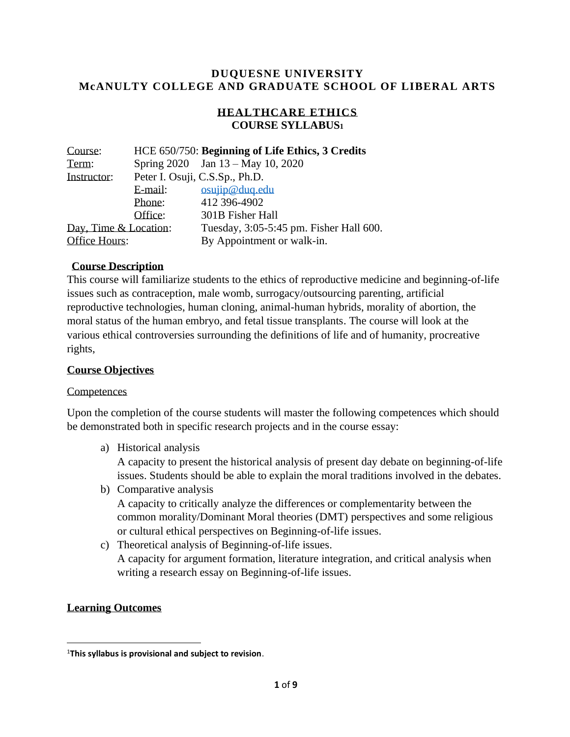### **DUQUESNE UNIVERSITY McANULTY COLLEGE AND GRADUATE SCHOOL OF LIBERAL ARTS**

## **HEALTHCARE ETHICS COURSE SYLLABUS<sup>1</sup>**

| Course:                 |         | HCE 650/750: Beginning of Life Ethics, 3 Credits |
|-------------------------|---------|--------------------------------------------------|
| Term:                   |         | Spring 2020 Jan 13 – May 10, 2020                |
| Instructor:             |         | Peter I. Osuji, C.S.Sp., Ph.D.                   |
|                         | E-mail: | $osu$ ip@duq.edu                                 |
|                         | Phone:  | 412 396-4902                                     |
|                         | Office: | 301B Fisher Hall                                 |
| Day, Time $& Location:$ |         | Tuesday, 3:05-5:45 pm. Fisher Hall 600.          |
| Office Hours:           |         | By Appointment or walk-in.                       |

### **Course Description**

This course will familiarize students to the ethics of reproductive medicine and beginning-of-life issues such as contraception, male womb, surrogacy/outsourcing parenting, artificial reproductive technologies, human cloning, animal-human hybrids, morality of abortion, the moral status of the human embryo, and fetal tissue transplants. The course will look at the various ethical controversies surrounding the definitions of life and of humanity, procreative rights,

#### **Course Objectives**

#### **Competences**

Upon the completion of the course students will master the following competences which should be demonstrated both in specific research projects and in the course essay:

a) Historical analysis

A capacity to present the historical analysis of present day debate on beginning-of-life issues. Students should be able to explain the moral traditions involved in the debates.

- b) Comparative analysis A capacity to critically analyze the differences or complementarity between the common morality/Dominant Moral theories (DMT) perspectives and some religious or cultural ethical perspectives on Beginning-of-life issues.
- c) Theoretical analysis of Beginning-of-life issues. A capacity for argument formation, literature integration, and critical analysis when writing a research essay on Beginning-of-life issues.

#### **Learning Outcomes**

<sup>1</sup>**This syllabus is provisional and subject to revision**.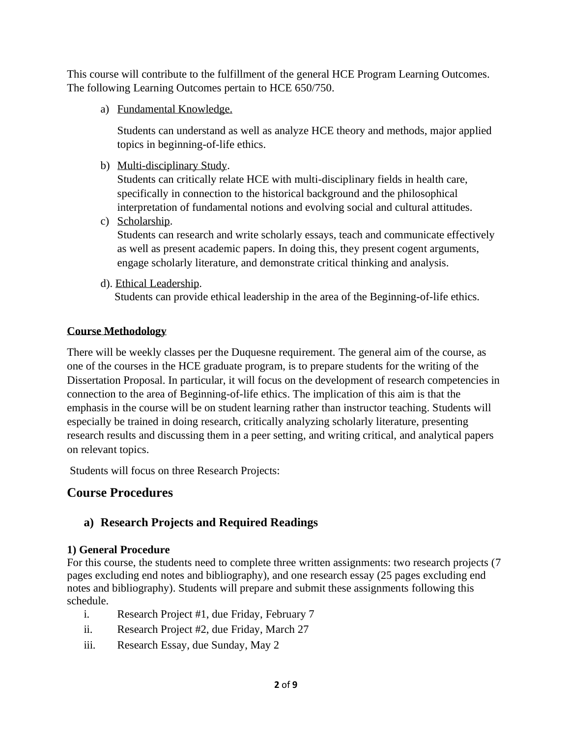This course will contribute to the fulfillment of the general HCE Program Learning Outcomes. The following Learning Outcomes pertain to HCE 650/750.

a) Fundamental Knowledge.

Students can understand as well as analyze HCE theory and methods, major applied topics in beginning-of-life ethics.

b) Multi-disciplinary Study.

Students can critically relate HCE with multi-disciplinary fields in health care, specifically in connection to the historical background and the philosophical interpretation of fundamental notions and evolving social and cultural attitudes.

c) Scholarship.

Students can research and write scholarly essays, teach and communicate effectively as well as present academic papers. In doing this, they present cogent arguments, engage scholarly literature, and demonstrate critical thinking and analysis.

d). Ethical Leadership.

Students can provide ethical leadership in the area of the Beginning-of-life ethics.

## **Course Methodology**

There will be weekly classes per the Duquesne requirement. The general aim of the course, as one of the courses in the HCE graduate program, is to prepare students for the writing of the Dissertation Proposal. In particular, it will focus on the development of research competencies in connection to the area of Beginning-of-life ethics. The implication of this aim is that the emphasis in the course will be on student learning rather than instructor teaching. Students will especially be trained in doing research, critically analyzing scholarly literature, presenting research results and discussing them in a peer setting, and writing critical, and analytical papers on relevant topics.

Students will focus on three Research Projects:

# **Course Procedures**

## **a) Research Projects and Required Readings**

## **1) General Procedure**

For this course, the students need to complete three written assignments: two research projects (7 pages excluding end notes and bibliography), and one research essay (25 pages excluding end notes and bibliography). Students will prepare and submit these assignments following this schedule.

- i. Research Project #1, due Friday, February 7
- ii. Research Project #2, due Friday, March 27
- iii. Research Essay, due Sunday, May 2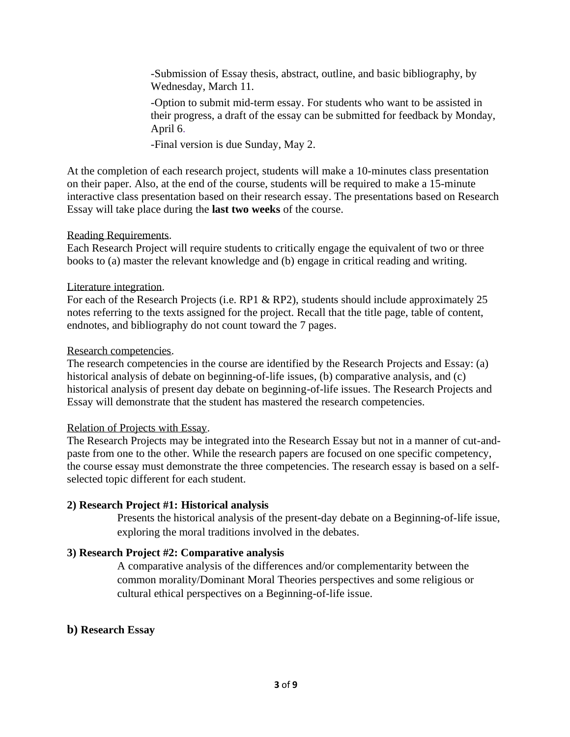-Submission of Essay thesis, abstract, outline, and basic bibliography, by Wednesday, March 11.

-Option to submit mid-term essay. For students who want to be assisted in their progress, a draft of the essay can be submitted for feedback by Monday, April 6.

-Final version is due Sunday, May 2.

At the completion of each research project, students will make a 10-minutes class presentation on their paper. Also, at the end of the course, students will be required to make a 15-minute interactive class presentation based on their research essay. The presentations based on Research Essay will take place during the **last two weeks** of the course.

#### Reading Requirements.

Each Research Project will require students to critically engage the equivalent of two or three books to (a) master the relevant knowledge and (b) engage in critical reading and writing.

### Literature integration.

For each of the Research Projects (i.e. RP1 & RP2), students should include approximately 25 notes referring to the texts assigned for the project. Recall that the title page, table of content, endnotes, and bibliography do not count toward the 7 pages.

### Research competencies.

The research competencies in the course are identified by the Research Projects and Essay: (a) historical analysis of debate on beginning-of-life issues, (b) comparative analysis, and (c) historical analysis of present day debate on beginning-of-life issues. The Research Projects and Essay will demonstrate that the student has mastered the research competencies.

#### Relation of Projects with Essay.

The Research Projects may be integrated into the Research Essay but not in a manner of cut-andpaste from one to the other. While the research papers are focused on one specific competency, the course essay must demonstrate the three competencies. The research essay is based on a selfselected topic different for each student.

### **2) Research Project #1: Historical analysis**

Presents the historical analysis of the present-day debate on a Beginning-of-life issue, exploring the moral traditions involved in the debates.

### **3) Research Project #2: Comparative analysis**

A comparative analysis of the differences and/or complementarity between the common morality/Dominant Moral Theories perspectives and some religious or cultural ethical perspectives on a Beginning-of-life issue.

### **b) Research Essay**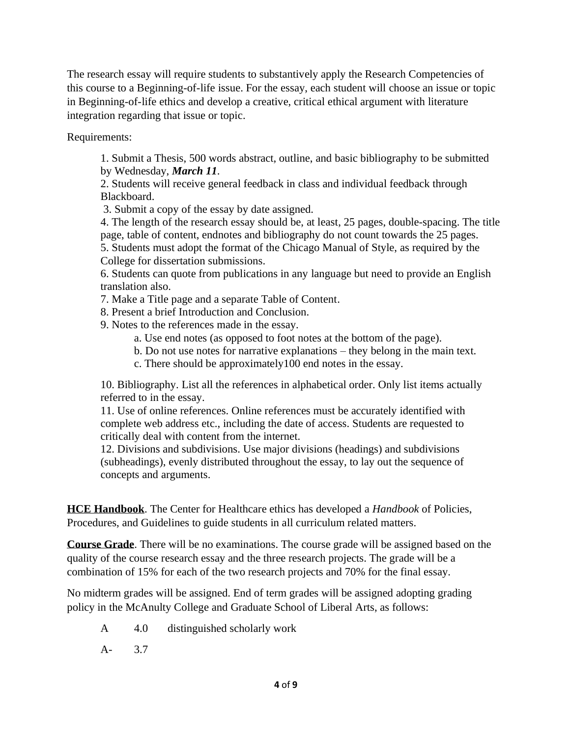The research essay will require students to substantively apply the Research Competencies of this course to a Beginning-of-life issue. For the essay, each student will choose an issue or topic in Beginning-of-life ethics and develop a creative, critical ethical argument with literature integration regarding that issue or topic.

Requirements:

1. Submit a Thesis, 500 words abstract, outline, and basic bibliography to be submitted by Wednesday, *March 11*.

2. Students will receive general feedback in class and individual feedback through Blackboard.

3. Submit a copy of the essay by date assigned.

4. The length of the research essay should be, at least, 25 pages, double-spacing. The title page, table of content, endnotes and bibliography do not count towards the 25 pages.

5. Students must adopt the format of the Chicago Manual of Style, as required by the College for dissertation submissions.

6. Students can quote from publications in any language but need to provide an English translation also.

- 7. Make a Title page and a separate Table of Content.
- 8. Present a brief Introduction and Conclusion.
- 9. Notes to the references made in the essay.
	- a. Use end notes (as opposed to foot notes at the bottom of the page).
	- b. Do not use notes for narrative explanations they belong in the main text.
	- c. There should be approximately100 end notes in the essay.

10. Bibliography. List all the references in alphabetical order. Only list items actually referred to in the essay.

11. Use of online references. Online references must be accurately identified with complete web address etc., including the date of access. Students are requested to critically deal with content from the internet.

12. Divisions and subdivisions. Use major divisions (headings) and subdivisions (subheadings), evenly distributed throughout the essay, to lay out the sequence of concepts and arguments.

**HCE Handbook**. The Center for Healthcare ethics has developed a *Handbook* of Policies, Procedures, and Guidelines to guide students in all curriculum related matters.

**Course Grade**. There will be no examinations. The course grade will be assigned based on the quality of the course research essay and the three research projects. The grade will be a combination of 15% for each of the two research projects and 70% for the final essay.

No midterm grades will be assigned. End of term grades will be assigned adopting grading policy in the McAnulty College and Graduate School of Liberal Arts, as follows:

A 4.0 distinguished scholarly work

A- 3.7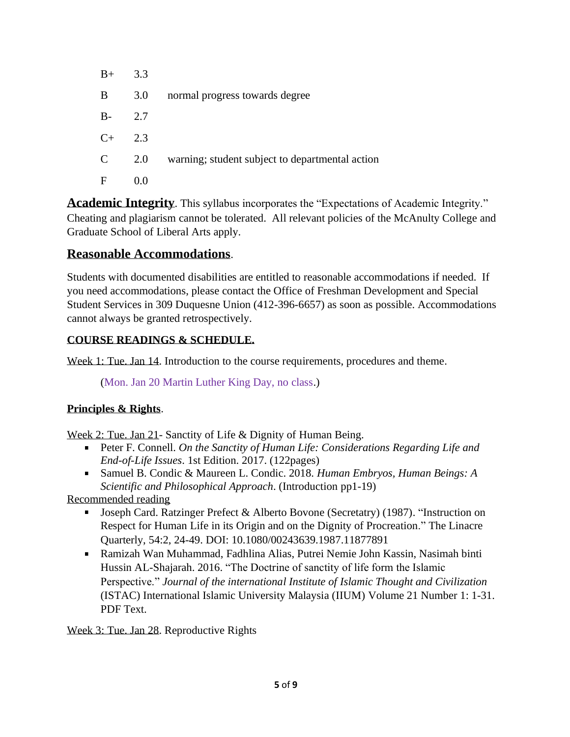| $B+$          | 3.3 |                                                 |
|---------------|-----|-------------------------------------------------|
| B             | 3.0 | normal progress towards degree                  |
| $B -$         | 2.7 |                                                 |
| $C+$          | 2.3 |                                                 |
| $\mathcal{C}$ | 2.0 | warning; student subject to departmental action |
| F             | 0.0 |                                                 |

**Academic Integrity**. This syllabus incorporates the "Expectations of Academic Integrity." Cheating and plagiarism cannot be tolerated. All relevant policies of the McAnulty College and Graduate School of Liberal Arts apply.

## **Reasonable Accommodations**.

Students with documented disabilities are entitled to reasonable accommodations if needed. If you need accommodations, please contact the Office of Freshman Development and Special Student Services in 309 Duquesne Union (412-396-6657) as soon as possible. Accommodations cannot always be granted retrospectively.

## **COURSE READINGS & SCHEDULE.**

Week 1: Tue. Jan 14. Introduction to the course requirements, procedures and theme.

(Mon. Jan 20 Martin Luther King Day, no class.)

### **Principles & Rights**.

Week 2: Tue. Jan 21- Sanctity of Life & Dignity of Human Being.

- Peter F. Connell. *On the Sanctity of Human Life: Considerations Regarding Life and End-of-Life Issues*. 1st Edition. 2017. (122pages)
- Samuel B. Condic & Maureen L. Condic. 2018. *Human Embryos, Human Beings: A Scientific and Philosophical Approach*. (Introduction pp1-19)

Recommended reading

- Joseph Card. Ratzinger Prefect & Alberto Bovone (Secretatry) (1987). "Instruction on Respect for Human Life in its Origin and on the Dignity of Procreation." The Linacre Quarterly, 54:2, 24-49. DOI: 10.1080/00243639.1987.11877891
- Ramizah Wan Muhammad, Fadhlina Alias, Putrei Nemie John Kassin, Nasimah binti Hussin AL-Shajarah. 2016. "The Doctrine of sanctity of life form the Islamic Perspective." *Journal of the international Institute of Islamic Thought and Civilization* (ISTAC) International Islamic University Malaysia (IIUM) Volume 21 Number 1: 1-31. PDF Text.

Week 3: Tue. Jan 28. Reproductive Rights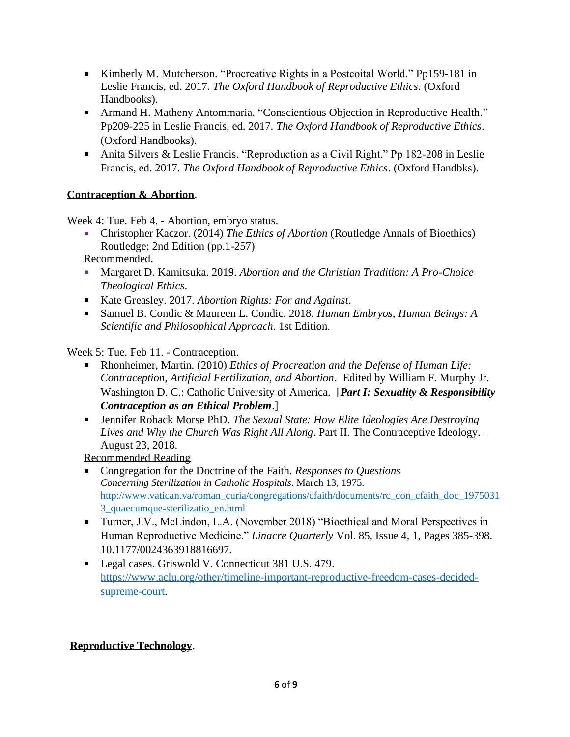- Kimberly M. Mutcherson. "Procreative Rights in a Postcoital World." Pp159-181 in Leslie Francis, ed. 2017. *The Oxford Handbook of Reproductive Ethics*. (Oxford Handbooks).
- Armand H. Matheny Antommaria. "Conscientious Objection in Reproductive Health." Pp209-225 in Leslie Francis, ed. 2017. *The Oxford Handbook of Reproductive Ethics*. (Oxford Handbooks).
- Anita Silvers & Leslie Francis. "Reproduction as a Civil Right." Pp 182-208 in Leslie Francis, ed. 2017. *The Oxford Handbook of Reproductive Ethics*. (Oxford Handbks).

## **Contraception & Abortion**.

Week 4: Tue. Feb 4. - Abortion, embryo status.

Christopher Kaczor. (2014) *The Ethics of Abortion* (Routledge Annals of Bioethics) Routledge; 2nd Edition (pp.1-257)

Recommended.

- Margaret D. Kamitsuka. 2019. *Abortion and the Christian Tradition: A Pro-Choice Theological Ethics*.
- Kate Greasley. 2017. *Abortion Rights: For and Against*.
- Samuel B. Condic & Maureen L. Condic. 2018. *Human Embryos, Human Beings: A Scientific and Philosophical Approach*. 1st Edition.

Week 5: Tue. Feb 11. - Contraception.

- Rhonheimer, Martin. (2010) *Ethics of Procreation and the Defense of Human Life: Contraception, Artificial Fertilization, and Abortion*. Edited by William F. Murphy Jr. Washington D. C.: Catholic University of America. [*Part I: Sexuality & Responsibility Contraception as an Ethical Problem*.]
- Jennifer Roback Morse PhD. *The Sexual State: How Elite Ideologies Are Destroying Lives and Why the Church Was Right All Along*. Part II. The Contraceptive Ideology. – August 23, 2018.

Recommended Reading

- Congregation for the Doctrine of the Faith. *Responses to Questions Concerning Sterilization in Catholic Hospitals*. March 13, 1975. [http://www.vatican.va/roman\\_curia/congregations/cfaith/documents/rc\\_con\\_cfaith\\_doc\\_1975031](http://www.vatican.va/roman_curia/congregations/cfaith/documents/rc_con_cfaith_doc_19750313_quaecumque-sterilizatio_en.html) [3\\_quaecumque-sterilizatio\\_en.html](http://www.vatican.va/roman_curia/congregations/cfaith/documents/rc_con_cfaith_doc_19750313_quaecumque-sterilizatio_en.html)
- Turner, J.V., McLindon, L.A. (November 2018) "Bioethical and Moral Perspectives in Human Reproductive Medicine." *Linacre Quarterly* Vol. 85, Issue 4, 1, Pages 385-398. 10.1177/0024363918816697.
- Legal cases. Griswold V. Connecticut 381 U.S. 479. [https://www.aclu.org/other/timeline-important-reproductive-freedom-cases-decided](https://www.aclu.org/other/timeline-important-reproductive-freedom-cases-decided-supreme-court)[supreme-court.](https://www.aclu.org/other/timeline-important-reproductive-freedom-cases-decided-supreme-court)

## **Reproductive Technology**.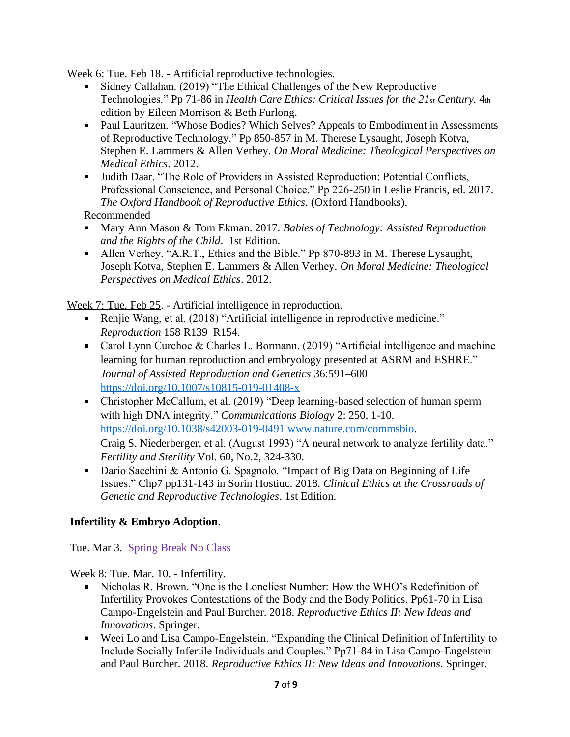Week 6: Tue. Feb 18. - Artificial reproductive technologies.

- **Sidney Callahan.** (2019) "The Ethical Challenges of the New Reproductive Technologies." Pp 71-86 in *Health Care Ethics: Critical Issues for the 21st Century.* 4th edition by Eileen Morrison & Beth Furlong.
- Paul Lauritzen. "Whose Bodies? Which Selves? Appeals to Embodiment in Assessments of Reproductive Technology." Pp 850-857 in M. Therese Lysaught, Joseph Kotva, Stephen E. Lammers & Allen Verhey. *On Moral Medicine: Theological Perspectives on Medical Ethics*. 2012.
- Judith Daar. "The Role of Providers in Assisted Reproduction: Potential Conflicts, Professional Conscience, and Personal Choice." Pp 226-250 in Leslie Francis, ed. 2017. *The Oxford Handbook of Reproductive Ethics*. (Oxford Handbooks).

Recommended

- Mary Ann Mason & Tom Ekman. 2017. *Babies of Technology: Assisted Reproduction and the Rights of the Child*. 1st Edition.
- Allen Verhey. "A.R.T., Ethics and the Bible." Pp 870-893 in M. Therese Lysaught, Joseph Kotva, Stephen E. Lammers & Allen Verhey. *On Moral Medicine: Theological Perspectives on Medical Ethics*. 2012.

Week 7: Tue. Feb 25. - Artificial intelligence in reproduction.

- Renjie Wang, et al. (2018) "Artificial intelligence in reproductive medicine." *Reproduction* 158 R139–R154.
- Carol Lynn Curchoe & Charles L. Bormann. (2019) "Artificial intelligence and machine learning for human reproduction and embryology presented at ASRM and ESHRE." *Journal of Assisted Reproduction and Genetics* 36:591–600 <https://doi.org/10.1007/s10815-019-01408-x>
- Christopher McCallum, et al. (2019) "Deep learning-based selection of human sperm with high DNA integrity." *Communications Biology* 2: 250, 1-10. <https://doi.org/10.1038/s42003-019-0491> [www.nature.com/commsbio.](http://www.nature.com/commsbio) Craig S. Niederberger, et al. (August 1993) "A neural network to analyze fertility data." *Fertility and Sterility* Vol. 60, No.2, 324-330.
- Dario Sacchini & Antonio G. Spagnolo. "Impact of Big Data on Beginning of Life Issues." Chp7 pp131-143 in Sorin Hostiuc. 2018. *Clinical Ethics at the Crossroads of Genetic and Reproductive Technologies*. 1st Edition.

## **Infertility & Embryo Adoption**.

Tue. Mar 3. Spring Break No Class

Week 8: Tue. Mar. 10. - Infertility.

- $\mathbf{u}$  . Nicholas R. Brown. "One is the Loneliest Number: How the WHO's Redefinition of Infertility Provokes Contestations of the Body and the Body Politics. Pp61-70 in Lisa Campo-Engelstein and Paul Burcher. 2018. *Reproductive Ethics II: New Ideas and Innovations*. Springer.
- Weei Lo and Lisa Campo-Engelstein. "Expanding the Clinical Definition of Infertility to Include Socially Infertile Individuals and Couples." Pp71-84 in Lisa Campo-Engelstein and Paul Burcher. 2018. *Reproductive Ethics II: New Ideas and Innovations*. Springer.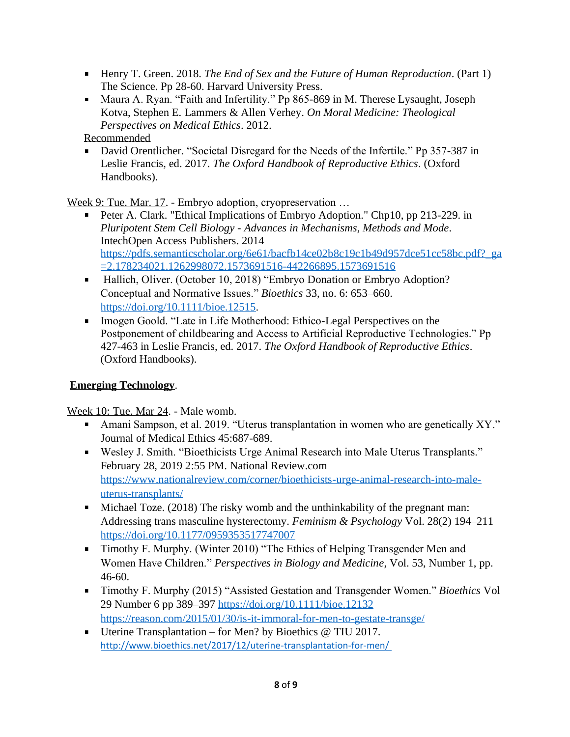- Henry T. Green. 2018. *The End of Sex and the Future of Human Reproduction*. (Part 1) The Science. Pp 28-60. Harvard University Press.
- Maura A. Ryan. "Faith and Infertility." Pp 865-869 in M. Therese Lysaught, Joseph Kotva, Stephen E. Lammers & Allen Verhey. *On Moral Medicine: Theological Perspectives on Medical Ethics*. 2012.

Recommended

David Orentlicher. "Societal Disregard for the Needs of the Infertile." Pp 357-387 in Leslie Francis, ed. 2017. *The Oxford Handbook of Reproductive Ethics*. (Oxford Handbooks).

Week 9: Tue. Mar. 17. - Embryo adoption, cryopreservation …

- Peter A. Clark. "Ethical Implications of Embryo Adoption." Chp10, pp 213-229. in *Pluripotent Stem Cell Biology - Advances in Mechanisms, Methods and Mode*. IntechOpen Access Publishers. 2014 [https://pdfs.semanticscholar.org/6e61/bacfb14ce02b8c19c1b49d957dce51cc58bc.pdf?\\_ga](https://pdfs.semanticscholar.org/6e61/bacfb14ce02b8c19c1b49d957dce51cc58bc.pdf?_ga=2.178234021.1262998072.1573691516-442266895.1573691516) [=2.178234021.1262998072.1573691516-442266895.1573691516](https://pdfs.semanticscholar.org/6e61/bacfb14ce02b8c19c1b49d957dce51cc58bc.pdf?_ga=2.178234021.1262998072.1573691516-442266895.1573691516)
- Hallich, Oliver. (October 10, 2018) "Embryo Donation or Embryo Adoption? Conceptual and Normative Issues." *Bioethics* 33, no. 6: 653–660. [https://doi.org/10.1111/bioe.12515.](https://doi.org/10.1111/bioe.12515)
- Imogen Goold. "Late in Life Motherhood: Ethico-Legal Perspectives on the Postponement of childbearing and Access to Artificial Reproductive Technologies." Pp 427-463 in Leslie Francis, ed. 2017. *The Oxford Handbook of Reproductive Ethics*. (Oxford Handbooks).

## **Emerging Technology**.

Week 10: Tue. Mar 24. - Male womb.

- Amani Sampson, et al. 2019. "Uterus transplantation in women who are genetically XY." Journal of Medical Ethics 45:687-689.
- Wesley J. Smith. "Bioethicists Urge Animal Research into Male Uterus Transplants." February 28, 2019 2:55 PM. National Review.com [https://www.nationalreview.com/corner/bioethicists-urge-animal-research-into-male](https://www.nationalreview.com/corner/bioethicists-urge-animal-research-into-male-uterus-transplants/)[uterus-transplants/](https://www.nationalreview.com/corner/bioethicists-urge-animal-research-into-male-uterus-transplants/)
- Michael Toze. (2018) The risky womb and the unthinkability of the pregnant man: Addressing trans masculine hysterectomy. *Feminism & Psychology* Vol. 28(2) 194–211 <https://doi.org/10.1177/0959353517747007>
- Timothy F. Murphy. (Winter 2010) "The Ethics of Helping Transgender Men and Women Have Children." *Perspectives in Biology and Medicine*, Vol. 53, Number 1, pp. 46-60.
- Timothy F. Murphy (2015) "Assisted Gestation and Transgender Women." *Bioethics* Vol 29 Number 6 pp 389–397<https://doi.org/10.1111/bioe.12132> <https://reason.com/2015/01/30/is-it-immoral-for-men-to-gestate-transge/>
- Uterine Transplantation for Men? by Bioethics @ TIU 2017. <http://www.bioethics.net/2017/12/uterine-transplantation-for-men/>